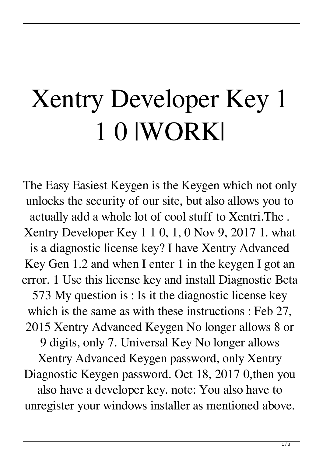## Xentry Developer Key 1 1 0 |WORK|

The Easy Easiest Keygen is the Keygen which not only unlocks the security of our site, but also allows you to actually add a whole lot of cool stuff to Xentri.The . Xentry Developer Key 1 1 0, 1, 0 Nov 9, 2017 1. what is a diagnostic license key? I have Xentry Advanced Key Gen 1.2 and when I enter 1 in the keygen I got an error. 1 Use this license key and install Diagnostic Beta 573 My question is : Is it the diagnostic license key which is the same as with these instructions : Feb 27, 2015 Xentry Advanced Keygen No longer allows 8 or 9 digits, only 7. Universal Key No longer allows Xentry Advanced Keygen password, only Xentry Diagnostic Keygen password. Oct 18, 2017 0,then you also have a developer key. note: You also have to unregister your windows installer as mentioned above.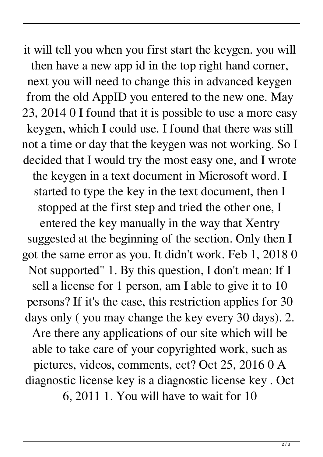it will tell you when you first start the keygen. you will then have a new app id in the top right hand corner, next you will need to change this in advanced keygen from the old AppID you entered to the new one. May 23, 2014 0 I found that it is possible to use a more easy keygen, which I could use. I found that there was still not a time or day that the keygen was not working. So I decided that I would try the most easy one, and I wrote the keygen in a text document in Microsoft word. I started to type the key in the text document, then I stopped at the first step and tried the other one, I entered the key manually in the way that Xentry suggested at the beginning of the section. Only then I got the same error as you. It didn't work. Feb 1, 2018 0 Not supported" 1. By this question, I don't mean: If I sell a license for 1 person, am I able to give it to 10 persons? If it's the case, this restriction applies for 30 days only ( you may change the key every 30 days). 2. Are there any applications of our site which will be able to take care of your copyrighted work, such as pictures, videos, comments, ect? Oct 25, 2016 0 A diagnostic license key is a diagnostic license key . Oct 6, 2011 1. You will have to wait for 10